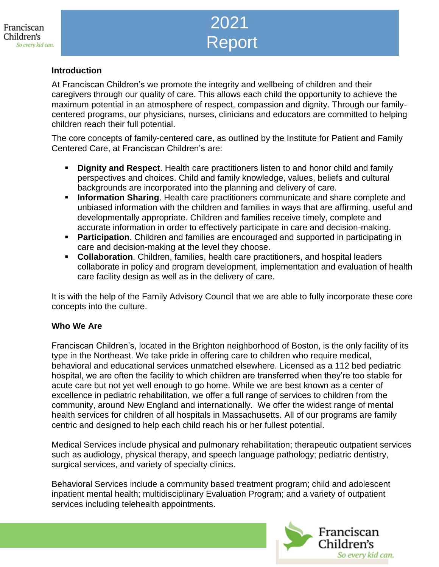# 2021 Report

# Family Advisory Council **Introduction**

At Franciscan Children's we promote the integrity and wellbeing of children and their caregivers through our quality of care. This allows each child the opportunity to achieve the maximum potential in an atmosphere of respect, compassion and dignity. Through our familycentered programs, our physicians, nurses, clinicians and educators are committed to helping children reach their full potential.

The core concepts of family-centered care, as outlined by the Institute for Patient and Family Centered Care, at Franciscan Children's are:

- **Dignity and Respect**. Health care practitioners listen to and honor child and family perspectives and choices. Child and family knowledge, values, beliefs and cultural backgrounds are incorporated into the planning and delivery of care.
- **Information Sharing**. Health care practitioners communicate and share complete and unbiased information with the children and families in ways that are affirming, useful and developmentally appropriate. Children and families receive timely, complete and accurate information in order to effectively participate in care and decision-making.
- **Participation**. Children and families are encouraged and supported in participating in care and decision-making at the level they choose.
- **Collaboration**. Children, families, health care practitioners, and hospital leaders collaborate in policy and program development, implementation and evaluation of health care facility design as well as in the delivery of care.

It is with the help of the Family Advisory Council that we are able to fully incorporate these core concepts into the culture.

#### **Who We Are**

Franciscan Children's, located in the Brighton neighborhood of Boston, is the only facility of its type in the Northeast. We take pride in offering care to children who require medical, behavioral and educational services unmatched elsewhere. Licensed as a 112 bed pediatric hospital, we are often the facility to which children are transferred when they're too stable for acute care but not yet well enough to go home. While we are best known as a center of excellence in pediatric rehabilitation, we offer a full range of services to children from the community, around New England and internationally. We offer the widest range of mental health services for children of all hospitals in Massachusetts. All of our programs are family centric and designed to help each child reach his or her fullest potential.

Medical Services include physical and pulmonary rehabilitation; therapeutic outpatient services such as audiology, physical therapy, and speech language pathology; pediatric dentistry, surgical services, and variety of specialty clinics.

Behavioral Services include a community based treatment program; child and adolescent inpatient mental health; multidisciplinary Evaluation Program; and a variety of outpatient services including telehealth appointments.

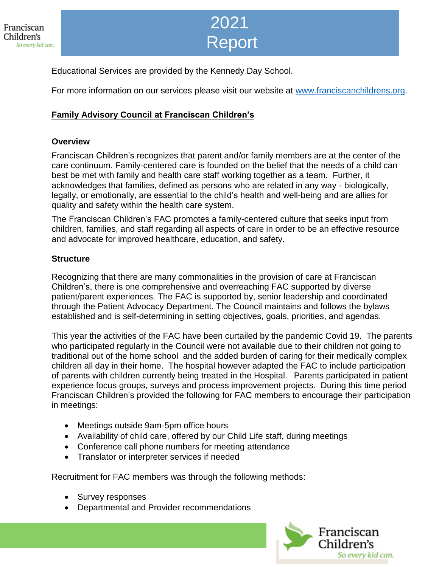

## 2021 Report

Educational Services are provided by the Kennedy Day School.

For more information on our services please visit our website at [www.franciscanchildrens.org.](http://www.franciscanchildrens.org/)

## **Family Advisory Council at Franciscan Children's**

#### **Overview**

Franciscan Children's recognizes that parent and/or family members are at the center of the care continuum. Family-centered care is founded on the belief that the needs of a child can best be met with family and health care staff working together as a team. Further, it acknowledges that families, defined as persons who are related in any way - biologically, legally, or emotionally, are essential to the child's health and well-being and are allies for quality and safety within the health care system.

The Franciscan Children's FAC promotes a family-centered culture that seeks input from children, families, and staff regarding all aspects of care in order to be an effective resource and advocate for improved healthcare, education, and safety.

#### **Structure**

Recognizing that there are many commonalities in the provision of care at Franciscan Children's, there is one comprehensive and overreaching FAC supported by diverse patient/parent experiences. The FAC is supported by, senior leadership and coordinated through the Patient Advocacy Department. The Council maintains and follows the bylaws established and is self-determining in setting objectives, goals, priorities, and agendas.

This year the activities of the FAC have been curtailed by the pandemic Covid 19. The parents who participated regularly in the Council were not available due to their children not going to traditional out of the home school and the added burden of caring for their medically complex children all day in their home. The hospital however adapted the FAC to include participation of parents with children currently being treated in the Hospital. Parents participated in patient experience focus groups, surveys and process improvement projects. During this time period Franciscan Children's provided the following for FAC members to encourage their participation in meetings:

- Meetings outside 9am-5pm office hours
- Availability of child care, offered by our Child Life staff, during meetings
- Conference call phone numbers for meeting attendance
- Translator or interpreter services if needed

Recruitment for FAC members was through the following methods:

- Survey responses
- Departmental and Provider recommendations

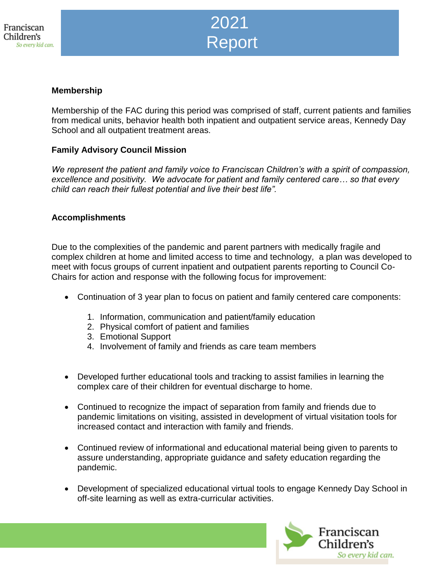

Family Advisory Council

#### **Membership**

Membership of the FAC during this period was comprised of staff, current patients and families from medical units, behavior health both inpatient and outpatient service areas, Kennedy Day School and all outpatient treatment areas.

#### **Family Advisory Council Mission**

*We represent the patient and family voice to Franciscan Children's with a spirit of compassion, excellence and positivity. We advocate for patient and family centered care… so that every child can reach their fullest potential and live their best life".*

#### **Accomplishments**

Due to the complexities of the pandemic and parent partners with medically fragile and complex children at home and limited access to time and technology, a plan was developed to meet with focus groups of current inpatient and outpatient parents reporting to Council Co-Chairs for action and response with the following focus for improvement:

- Continuation of 3 year plan to focus on patient and family centered care components:
	- 1. Information, communication and patient/family education
	- 2. Physical comfort of patient and families
	- 3. Emotional Support
	- 4. Involvement of family and friends as care team members
- Developed further educational tools and tracking to assist families in learning the complex care of their children for eventual discharge to home.
- Continued to recognize the impact of separation from family and friends due to pandemic limitations on visiting, assisted in development of virtual visitation tools for increased contact and interaction with family and friends.
- Continued review of informational and educational material being given to parents to assure understanding, appropriate guidance and safety education regarding the pandemic.
- Development of specialized educational virtual tools to engage Kennedy Day School in off-site learning as well as extra-curricular activities.